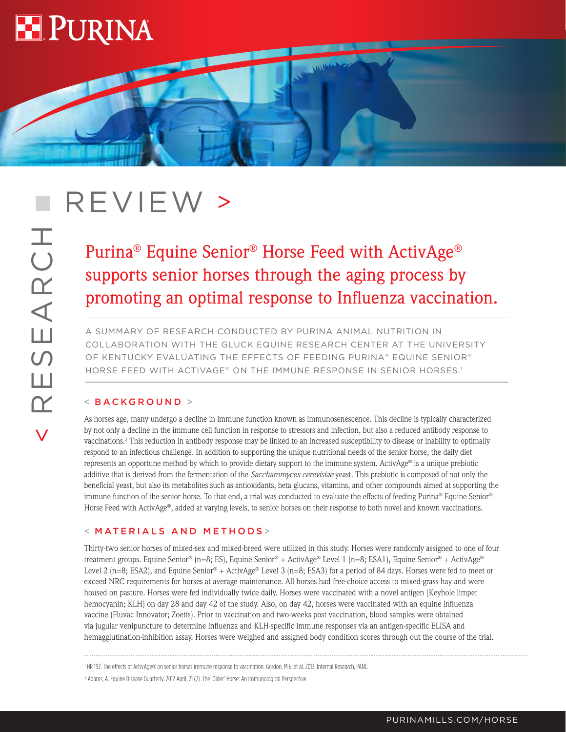

# REVIEW >

# Purina® Equine Senior® Horse Feed with ActivAge® supports senior horses through the aging process by promoting an optimal response to Influenza vaccination.

**MARY MON** 

A SUMMARY OF RESEARCH CONDUCTED BY PURINA ANIMAL NUTRITION IN COLLABORATION WITH THE GLUCK EQUINE RESEARCH CENTER AT THE UNIVERSITY OF KENTUCKY EVALUATING THE EFFECTS OF FEEDING PURINA® EQUINE SENIOR® HORSE FEED WITH ACTIVAGE® ON THE IMMUNE RESPONSE IN SENIOR HORSES.<sup>1</sup>

# < BACKGROUND >

As horses age, many undergo a decline in immune function known as immunosenescence. This decline is typically characterized by not only a decline in the immune cell function in response to stressors and infection, but also a reduced antibody response to vaccinations.2 This reduction in antibody response may be linked to an increased susceptibility to disease or inability to optimally respond to an infectious challenge. In addition to supporting the unique nutritional needs of the senior horse, the daily diet represents an opportune method by which to provide dietary support to the immune system. ActivAge® is a unique prebiotic additive that is derived from the fermentation of the *Saccharomyces cerevisiae* yeast. This prebiotic is composed of not only the beneficial yeast, but also its metabolites such as antioxidants, beta glucans, vitamins, and other compounds aimed at supporting the immune function of the senior horse. To that end, a trial was conducted to evaluate the effects of feeding Purina® Equine Senior® Horse Feed with ActivAge®, added at varying levels, to senior horses on their response to both novel and known vaccinations.

# < MATERIALS AND METHODS >

Thirty-two senior horses of mixed-sex and mixed-breed were utilized in this study. Horses were randomly assigned to one of four treatment groups. Equine Senior® (n=8; ES), Equine Senior® + ActivAge® Level 1 (n=8; ESA1), Equine Senior® + ActivAge® Level 2 (n=8; ESA2), and Equine Senior® + ActivAge® Level 3 (n=8; ESA3) for a period of 84 days. Horses were fed to meet or exceed NRC requirements for horses at average maintenance. All horses had free-choice access to mixed-grass hay and were housed on pasture. Horses were fed individually twice daily. Horses were vaccinated with a novel antigen (Keyhole limpet hemocyanin; KLH) on day 28 and day 42 of the study. Also, on day 42, horses were vaccinated with an equine influenza vaccine (Fluvac Innovator; Zoetis). Prior to vaccination and two-weeks post vaccination, blood samples were obtained via jugular venipuncture to determine influenza and KLH-specific immune responses via an antigen-specific ELISA and hemagglutination-inhibition assay. Horses were weighed and assigned body condition scores through out the course of the trial.

<sup>1</sup> HR 192. The effects of ActivAge® on senior horses immune response to vaccination. Gordon, M.E. et al. 2013. Internal Research, PANC.

<sup>2</sup> Adams, A. Equine Disease Quarterly. 2012 April, 21 (2). The 'Older' Horse: An Immunological Perspective.